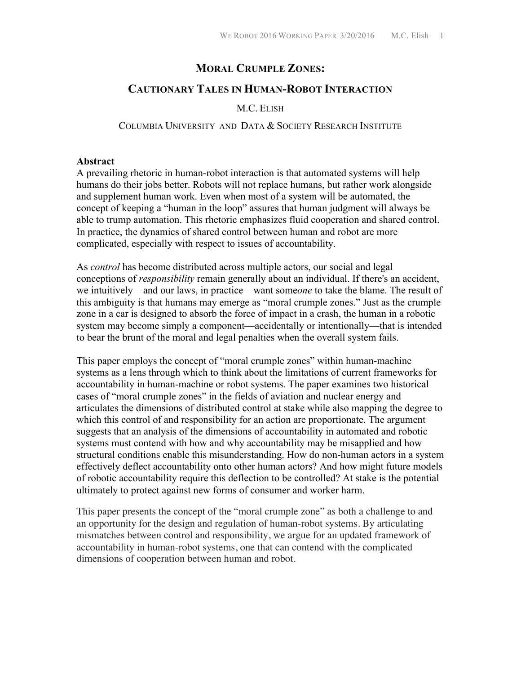# **MORAL CRUMPLE ZONES:**

## **CAUTIONARY TALES IN HUMAN-ROBOT INTERACTION**

## M.C. ELISH

### COLUMBIA UNIVERSITY AND DATA & SOCIETY RESEARCH INSTITUTE

#### **Abstract**

A prevailing rhetoric in human-robot interaction is that automated systems will help humans do their jobs better. Robots will not replace humans, but rather work alongside and supplement human work. Even when most of a system will be automated, the concept of keeping a "human in the loop" assures that human judgment will always be able to trump automation. This rhetoric emphasizes fluid cooperation and shared control. In practice, the dynamics of shared control between human and robot are more complicated, especially with respect to issues of accountability.

As *control* has become distributed across multiple actors, our social and legal conceptions of *responsibility* remain generally about an individual. If there's an accident, we intuitively—and our laws, in practice—want some*one* to take the blame. The result of this ambiguity is that humans may emerge as "moral crumple zones." Just as the crumple zone in a car is designed to absorb the force of impact in a crash, the human in a robotic system may become simply a component—accidentally or intentionally—that is intended to bear the brunt of the moral and legal penalties when the overall system fails.

This paper employs the concept of "moral crumple zones" within human-machine systems as a lens through which to think about the limitations of current frameworks for accountability in human-machine or robot systems. The paper examines two historical cases of "moral crumple zones" in the fields of aviation and nuclear energy and articulates the dimensions of distributed control at stake while also mapping the degree to which this control of and responsibility for an action are proportionate. The argument suggests that an analysis of the dimensions of accountability in automated and robotic systems must contend with how and why accountability may be misapplied and how structural conditions enable this misunderstanding. How do non-human actors in a system effectively deflect accountability onto other human actors? And how might future models of robotic accountability require this deflection to be controlled? At stake is the potential ultimately to protect against new forms of consumer and worker harm.

This paper presents the concept of the "moral crumple zone" as both a challenge to and an opportunity for the design and regulation of human-robot systems. By articulating mismatches between control and responsibility, we argue for an updated framework of accountability in human-robot systems, one that can contend with the complicated dimensions of cooperation between human and robot.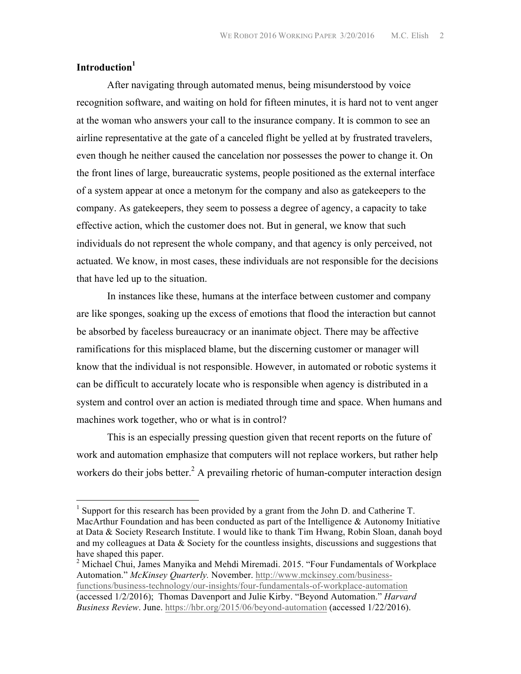# **Introduction1**

After navigating through automated menus, being misunderstood by voice recognition software, and waiting on hold for fifteen minutes, it is hard not to vent anger at the woman who answers your call to the insurance company. It is common to see an airline representative at the gate of a canceled flight be yelled at by frustrated travelers, even though he neither caused the cancelation nor possesses the power to change it. On the front lines of large, bureaucratic systems, people positioned as the external interface of a system appear at once a metonym for the company and also as gatekeepers to the company. As gatekeepers, they seem to possess a degree of agency, a capacity to take effective action, which the customer does not. But in general, we know that such individuals do not represent the whole company, and that agency is only perceived, not actuated. We know, in most cases, these individuals are not responsible for the decisions that have led up to the situation.

In instances like these, humans at the interface between customer and company are like sponges, soaking up the excess of emotions that flood the interaction but cannot be absorbed by faceless bureaucracy or an inanimate object. There may be affective ramifications for this misplaced blame, but the discerning customer or manager will know that the individual is not responsible. However, in automated or robotic systems it can be difficult to accurately locate who is responsible when agency is distributed in a system and control over an action is mediated through time and space. When humans and machines work together, who or what is in control?

This is an especially pressing question given that recent reports on the future of work and automation emphasize that computers will not replace workers, but rather help workers do their jobs better.<sup>2</sup> A prevailing rhetoric of human-computer interaction design

<sup>&</sup>lt;sup>1</sup> Support for this research has been provided by a grant from the John D. and Catherine T. MacArthur Foundation and has been conducted as part of the Intelligence  $\&$  Autonomy Initiative at Data & Society Research Institute. I would like to thank Tim Hwang, Robin Sloan, danah boyd and my colleagues at Data & Society for the countless insights, discussions and suggestions that have shaped this paper.

<sup>&</sup>lt;sup>2</sup> Michael Chui, James Manyika and Mehdi Miremadi. 2015. "Four Fundamentals of Workplace Automation." *McKinsey Quarterly.* November. http://www.mckinsey.com/businessfunctions/business-technology/our-insights/four-fundamentals-of-workplace-automation (accessed 1/2/2016); Thomas Davenport and Julie Kirby. "Beyond Automation." *Harvard* 

*Business Review*. June. https://hbr.org/2015/06/beyond-automation (accessed 1/22/2016).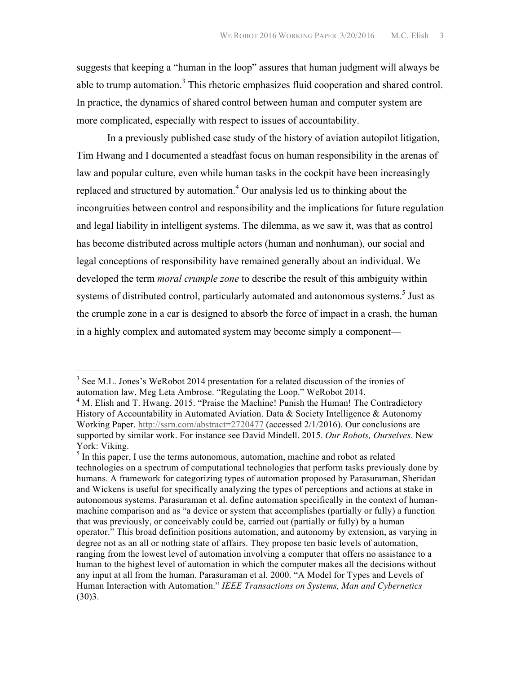suggests that keeping a "human in the loop" assures that human judgment will always be able to trump automation.<sup>3</sup> This rhetoric emphasizes fluid cooperation and shared control. In practice, the dynamics of shared control between human and computer system are more complicated, especially with respect to issues of accountability.

In a previously published case study of the history of aviation autopilot litigation, Tim Hwang and I documented a steadfast focus on human responsibility in the arenas of law and popular culture, even while human tasks in the cockpit have been increasingly replaced and structured by automation.<sup>4</sup> Our analysis led us to thinking about the incongruities between control and responsibility and the implications for future regulation and legal liability in intelligent systems. The dilemma, as we saw it, was that as control has become distributed across multiple actors (human and nonhuman), our social and legal conceptions of responsibility have remained generally about an individual. We developed the term *moral crumple zone* to describe the result of this ambiguity within systems of distributed control, particularly automated and autonomous systems.<sup>5</sup> Just as the crumple zone in a car is designed to absorb the force of impact in a crash, the human in a highly complex and automated system may become simply a component—

<sup>&</sup>lt;sup>3</sup> See M.L. Jones's WeRobot 2014 presentation for a related discussion of the ironies of automation law, Meg Leta Ambrose. "Regulating the Loop." WeRobot 2014.

 $4$  M. Elish and T. Hwang. 2015. "Praise the Machine! Punish the Human! The Contradictory History of Accountability in Automated Aviation. Data & Society Intelligence & Autonomy Working Paper. http://ssrn.com/abstract=2720477 (accessed 2/1/2016). Our conclusions are supported by similar work. For instance see David Mindell. 2015. *Our Robots, Ourselves*. New York: Viking.

 $<sup>5</sup>$  In this paper, I use the terms autonomous, automation, machine and robot as related</sup> technologies on a spectrum of computational technologies that perform tasks previously done by humans. A framework for categorizing types of automation proposed by Parasuraman, Sheridan and Wickens is useful for specifically analyzing the types of perceptions and actions at stake in autonomous systems. Parasuraman et al. define automation specifically in the context of humanmachine comparison and as "a device or system that accomplishes (partially or fully) a function that was previously, or conceivably could be, carried out (partially or fully) by a human operator." This broad definition positions automation, and autonomy by extension, as varying in degree not as an all or nothing state of affairs. They propose ten basic levels of automation, ranging from the lowest level of automation involving a computer that offers no assistance to a human to the highest level of automation in which the computer makes all the decisions without any input at all from the human. Parasuraman et al. 2000. "A Model for Types and Levels of Human Interaction with Automation." *IEEE Transactions on Systems, Man and Cybernetics*   $(30)3.$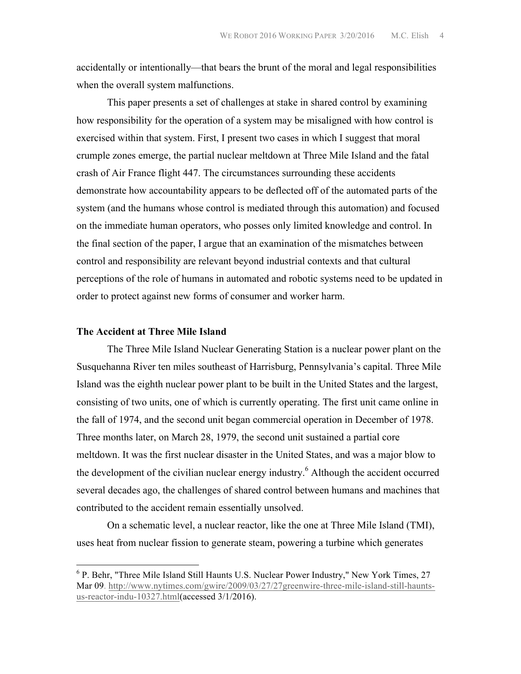accidentally or intentionally—that bears the brunt of the moral and legal responsibilities when the overall system malfunctions.

This paper presents a set of challenges at stake in shared control by examining how responsibility for the operation of a system may be misaligned with how control is exercised within that system. First, I present two cases in which I suggest that moral crumple zones emerge, the partial nuclear meltdown at Three Mile Island and the fatal crash of Air France flight 447. The circumstances surrounding these accidents demonstrate how accountability appears to be deflected off of the automated parts of the system (and the humans whose control is mediated through this automation) and focused on the immediate human operators, who posses only limited knowledge and control. In the final section of the paper, I argue that an examination of the mismatches between control and responsibility are relevant beyond industrial contexts and that cultural perceptions of the role of humans in automated and robotic systems need to be updated in order to protect against new forms of consumer and worker harm.

#### **The Accident at Three Mile Island**

The Three Mile Island Nuclear Generating Station is a nuclear power plant on the Susquehanna River ten miles southeast of Harrisburg, Pennsylvania's capital. Three Mile Island was the eighth nuclear power plant to be built in the United States and the largest, consisting of two units, one of which is currently operating. The first unit came online in the fall of 1974, and the second unit began commercial operation in December of 1978. Three months later, on March 28, 1979, the second unit sustained a partial core meltdown. It was the first nuclear disaster in the United States, and was a major blow to the development of the civilian nuclear energy industry.<sup>6</sup> Although the accident occurred several decades ago, the challenges of shared control between humans and machines that contributed to the accident remain essentially unsolved.

On a schematic level, a nuclear reactor, like the one at Three Mile Island (TMI), uses heat from nuclear fission to generate steam, powering a turbine which generates

<sup>&</sup>lt;sup>6</sup> P. Behr, "Three Mile Island Still Haunts U.S. Nuclear Power Industry," New York Times, 27 Mar 09. http://www.nytimes.com/gwire/2009/03/27/27greenwire-three-mile-island-still-hauntsus-reactor-indu-10327.html(accessed 3/1/2016).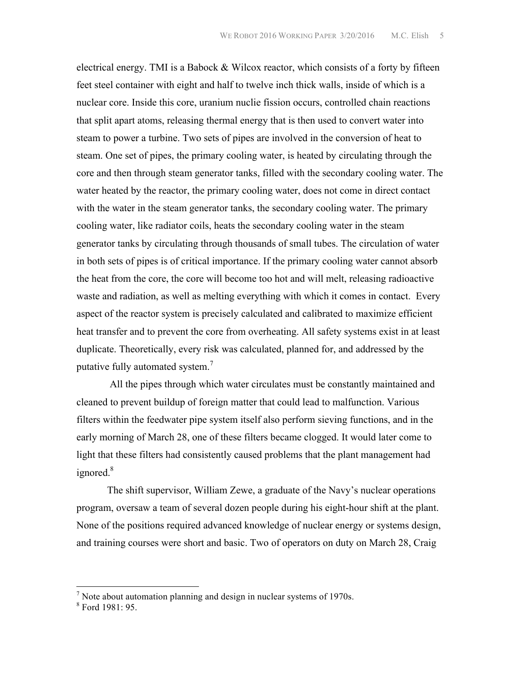electrical energy. TMI is a Babock & Wilcox reactor, which consists of a forty by fifteen feet steel container with eight and half to twelve inch thick walls, inside of which is a nuclear core. Inside this core, uranium nuclie fission occurs, controlled chain reactions that split apart atoms, releasing thermal energy that is then used to convert water into steam to power a turbine. Two sets of pipes are involved in the conversion of heat to steam. One set of pipes, the primary cooling water, is heated by circulating through the core and then through steam generator tanks, filled with the secondary cooling water. The water heated by the reactor, the primary cooling water, does not come in direct contact with the water in the steam generator tanks, the secondary cooling water. The primary cooling water, like radiator coils, heats the secondary cooling water in the steam generator tanks by circulating through thousands of small tubes. The circulation of water in both sets of pipes is of critical importance. If the primary cooling water cannot absorb the heat from the core, the core will become too hot and will melt, releasing radioactive waste and radiation, as well as melting everything with which it comes in contact. Every aspect of the reactor system is precisely calculated and calibrated to maximize efficient heat transfer and to prevent the core from overheating. All safety systems exist in at least duplicate. Theoretically, every risk was calculated, planned for, and addressed by the putative fully automated system.<sup>7</sup>

All the pipes through which water circulates must be constantly maintained and cleaned to prevent buildup of foreign matter that could lead to malfunction. Various filters within the feedwater pipe system itself also perform sieving functions, and in the early morning of March 28, one of these filters became clogged. It would later come to light that these filters had consistently caused problems that the plant management had ignored.<sup>8</sup>

The shift supervisor, William Zewe, a graduate of the Navy's nuclear operations program, oversaw a team of several dozen people during his eight-hour shift at the plant. None of the positions required advanced knowledge of nuclear energy or systems design, and training courses were short and basic. Two of operators on duty on March 28, Craig

 $\frac{7}{100}$  Note about automation planning and design in nuclear systems of 1970s.

<sup>8</sup> Ford 1981: 95.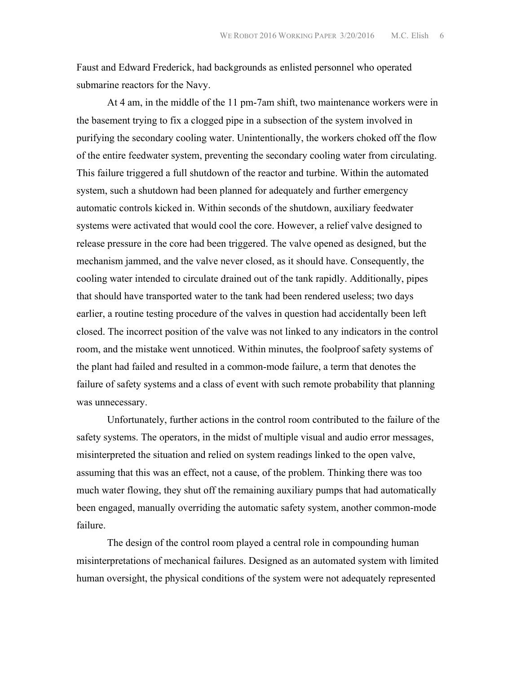Faust and Edward Frederick, had backgrounds as enlisted personnel who operated submarine reactors for the Navy.

At 4 am, in the middle of the 11 pm-7am shift, two maintenance workers were in the basement trying to fix a clogged pipe in a subsection of the system involved in purifying the secondary cooling water. Unintentionally, the workers choked off the flow of the entire feedwater system, preventing the secondary cooling water from circulating. This failure triggered a full shutdown of the reactor and turbine. Within the automated system, such a shutdown had been planned for adequately and further emergency automatic controls kicked in. Within seconds of the shutdown, auxiliary feedwater systems were activated that would cool the core. However, a relief valve designed to release pressure in the core had been triggered. The valve opened as designed, but the mechanism jammed, and the valve never closed, as it should have. Consequently, the cooling water intended to circulate drained out of the tank rapidly. Additionally, pipes that should have transported water to the tank had been rendered useless; two days earlier, a routine testing procedure of the valves in question had accidentally been left closed. The incorrect position of the valve was not linked to any indicators in the control room, and the mistake went unnoticed. Within minutes, the foolproof safety systems of the plant had failed and resulted in a common-mode failure, a term that denotes the failure of safety systems and a class of event with such remote probability that planning was unnecessary.

Unfortunately, further actions in the control room contributed to the failure of the safety systems. The operators, in the midst of multiple visual and audio error messages, misinterpreted the situation and relied on system readings linked to the open valve, assuming that this was an effect, not a cause, of the problem. Thinking there was too much water flowing, they shut off the remaining auxiliary pumps that had automatically been engaged, manually overriding the automatic safety system, another common-mode failure.

The design of the control room played a central role in compounding human misinterpretations of mechanical failures. Designed as an automated system with limited human oversight, the physical conditions of the system were not adequately represented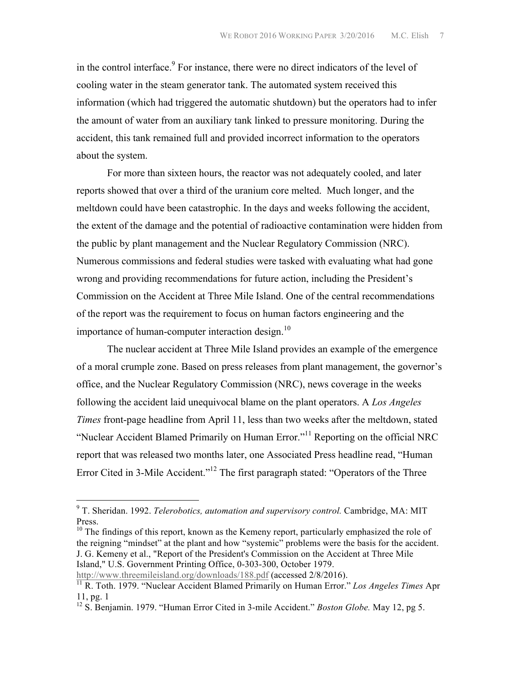in the control interface.<sup>9</sup> For instance, there were no direct indicators of the level of cooling water in the steam generator tank. The automated system received this information (which had triggered the automatic shutdown) but the operators had to infer the amount of water from an auxiliary tank linked to pressure monitoring. During the accident, this tank remained full and provided incorrect information to the operators about the system.

For more than sixteen hours, the reactor was not adequately cooled, and later reports showed that over a third of the uranium core melted. Much longer, and the meltdown could have been catastrophic. In the days and weeks following the accident, the extent of the damage and the potential of radioactive contamination were hidden from the public by plant management and the Nuclear Regulatory Commission (NRC). Numerous commissions and federal studies were tasked with evaluating what had gone wrong and providing recommendations for future action, including the President's Commission on the Accident at Three Mile Island. One of the central recommendations of the report was the requirement to focus on human factors engineering and the importance of human-computer interaction design.<sup>10</sup>

The nuclear accident at Three Mile Island provides an example of the emergence of a moral crumple zone. Based on press releases from plant management, the governor's office, and the Nuclear Regulatory Commission (NRC), news coverage in the weeks following the accident laid unequivocal blame on the plant operators. A *Los Angeles Times* front-page headline from April 11, less than two weeks after the meltdown, stated "Nuclear Accident Blamed Primarily on Human Error."<sup>11</sup> Reporting on the official NRC report that was released two months later, one Associated Press headline read, "Human Error Cited in 3-Mile Accident."<sup>12</sup> The first paragraph stated: "Operators of the Three

 $10$  The findings of this report, known as the Kemeny report, particularly emphasized the role of the reigning "mindset" at the plant and how "systemic" problems were the basis for the accident. J. G. Kemeny et al., "Report of the President's Commission on the Accident at Three Mile Island," U.S. Government Printing Office, 0-303-300, October 1979.

http://www.threemileisland.org/downloads/188.pdf (accessed 2/8/2016).

 <sup>9</sup> T. Sheridan. 1992. *Telerobotics, automation and supervisory control.* Cambridge, MA: MIT Press.

<sup>11</sup> R. Toth. 1979. "Nuclear Accident Blamed Primarily on Human Error." *Los Angeles Times* Apr 11, pg. 1

<sup>12</sup> S. Benjamin. 1979. "Human Error Cited in 3-mile Accident." *Boston Globe.* May 12, pg 5.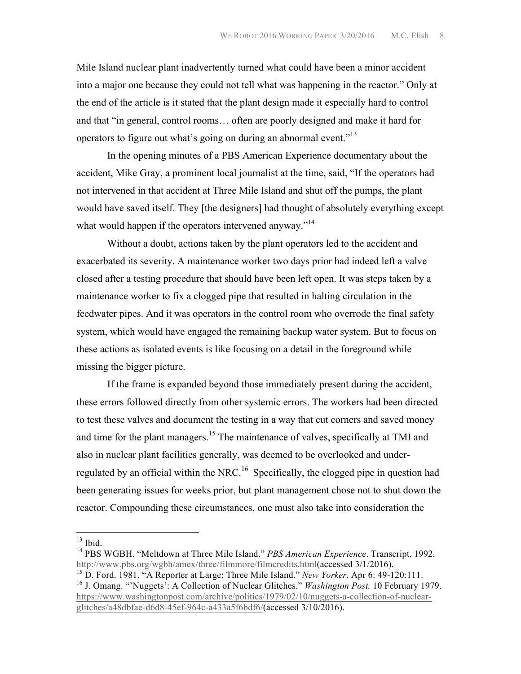Mile Island nuclear plant inadvertently turned what could have been a minor accident into a major one because they could not tell what was happening in the reactor." Only at the end of the article is it stated that the plant design made it especially hard to control and that "in general, control rooms… often are poorly designed and make it hard for operators to figure out what's going on during an abnormal event."<sup>13</sup>

In the opening minutes of a PBS American Experience documentary about the accident, Mike Gray, a prominent local journalist at the time, said, "If the operators had not intervened in that accident at Three Mile Island and shut off the pumps, the plant would have saved itself. They [the designers] had thought of absolutely everything except what would happen if the operators intervened anyway."<sup>14</sup>

Without a doubt, actions taken by the plant operators led to the accident and exacerbated its severity. A maintenance worker two days prior had indeed left a valve closed after a testing procedure that should have been left open. It was steps taken by a maintenance worker to fix a clogged pipe that resulted in halting circulation in the feedwater pipes. And it was operators in the control room who overrode the final safety system, which would have engaged the remaining backup water system. But to focus on these actions as isolated events is like focusing on a detail in the foreground while missing the bigger picture.

If the frame is expanded beyond those immediately present during the accident, these errors followed directly from other systemic errors. The workers had been directed to test these valves and document the testing in a way that cut corners and saved money and time for the plant managers.<sup>15</sup> The maintenance of valves, specifically at TMI and also in nuclear plant facilities generally, was deemed to be overlooked and underregulated by an official within the NRC.<sup>16</sup> Specifically, the clogged pipe in question had been generating issues for weeks prior, but plant management chose not to shut down the reactor. Compounding these circumstances, one must also take into consideration the

 $13$  Ibid.

<sup>&</sup>lt;sup>14</sup> PBS WGBH. "Meltdown at Three Mile Island." *PBS American Experience*. Transcript. 1992. http://www.pbs.org/wgbh/amex/three/filmmore/filmcredits.html(accessed 3/1/2016).

<sup>15</sup> D. Ford. 1981. "A Reporter at Large: Three Mile Island." *New Yorker*. Apr 6: 49-120:111. <sup>16</sup> J. Omang. "'Nuggets': A Collection of Nuclear Glitches." *Washington Post.* 10 February 1979. https://www.washingtonpost.com/archive/politics/1979/02/10/nuggets-a-collection-of-nuclearglitches/a48dbfae-d6d8-45ef-964c-a433a5f6bdf6/(accessed 3/10/2016).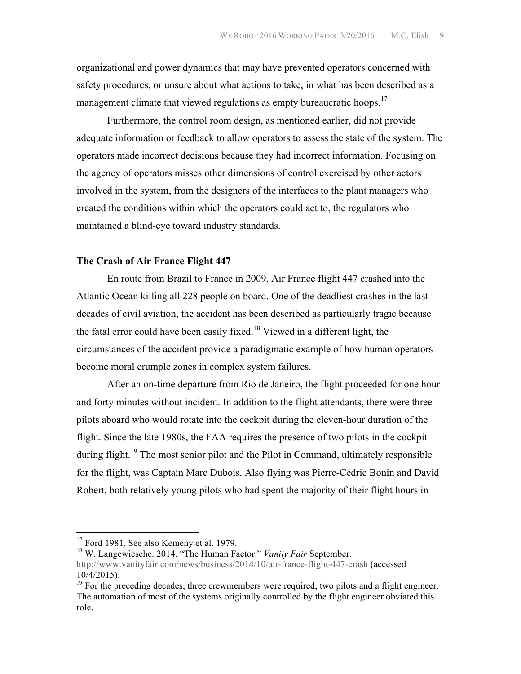organizational and power dynamics that may have prevented operators concerned with safety procedures, or unsure about what actions to take, in what has been described as a management climate that viewed regulations as empty bureaucratic hoops.<sup>17</sup>

Furthermore, the control room design, as mentioned earlier, did not provide adequate information or feedback to allow operators to assess the state of the system. The operators made incorrect decisions because they had incorrect information. Focusing on the agency of operators misses other dimensions of control exercised by other actors involved in the system, from the designers of the interfaces to the plant managers who created the conditions within which the operators could act to, the regulators who maintained a blind-eye toward industry standards.

#### **The Crash of Air France Flight 447**

En route from Brazil to France in 2009, Air France flight 447 crashed into the Atlantic Ocean killing all 228 people on board. One of the deadliest crashes in the last decades of civil aviation, the accident has been described as particularly tragic because the fatal error could have been easily fixed.<sup>18</sup> Viewed in a different light, the circumstances of the accident provide a paradigmatic example of how human operators become moral crumple zones in complex system failures.

After an on-time departure from Rio de Janeiro, the flight proceeded for one hour and forty minutes without incident. In addition to the flight attendants, there were three pilots aboard who would rotate into the cockpit during the eleven-hour duration of the flight. Since the late 1980s, the FAA requires the presence of two pilots in the cockpit during flight.<sup>19</sup> The most senior pilot and the Pilot in Command, ultimately responsible for the flight, was Captain Marc Dubois. Also flying was Pierre-Cédric Bonin and David Robert, both relatively young pilots who had spent the majority of their flight hours in

<sup>18</sup> W. Langewiesche. 2014. "The Human Factor." *Vanity Fair* September.

 $17$  Ford 1981. See also Kemeny et al. 1979.

http://www.vanityfair.com/news/business/2014/10/air-france-flight-447-crash (accessed 10/4/2015).

 $19$  For the preceding decades, three crewmembers were required, two pilots and a flight engineer. The automation of most of the systems originally controlled by the flight engineer obviated this role.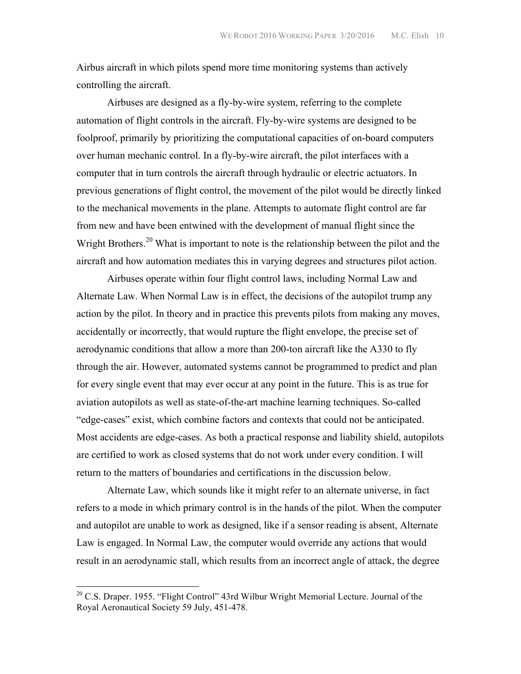Airbus aircraft in which pilots spend more time monitoring systems than actively controlling the aircraft.

Airbuses are designed as a fly-by-wire system, referring to the complete automation of flight controls in the aircraft. Fly-by-wire systems are designed to be foolproof, primarily by prioritizing the computational capacities of on-board computers over human mechanic control. In a fly-by-wire aircraft, the pilot interfaces with a computer that in turn controls the aircraft through hydraulic or electric actuators. In previous generations of flight control, the movement of the pilot would be directly linked to the mechanical movements in the plane. Attempts to automate flight control are far from new and have been entwined with the development of manual flight since the Wright Brothers.<sup>20</sup> What is important to note is the relationship between the pilot and the aircraft and how automation mediates this in varying degrees and structures pilot action.

Airbuses operate within four flight control laws, including Normal Law and Alternate Law. When Normal Law is in effect, the decisions of the autopilot trump any action by the pilot. In theory and in practice this prevents pilots from making any moves, accidentally or incorrectly, that would rupture the flight envelope, the precise set of aerodynamic conditions that allow a more than 200-ton aircraft like the A330 to fly through the air. However, automated systems cannot be programmed to predict and plan for every single event that may ever occur at any point in the future. This is as true for aviation autopilots as well as state-of-the-art machine learning techniques. So-called "edge-cases" exist, which combine factors and contexts that could not be anticipated. Most accidents are edge-cases. As both a practical response and liability shield, autopilots are certified to work as closed systems that do not work under every condition. I will return to the matters of boundaries and certifications in the discussion below.

Alternate Law, which sounds like it might refer to an alternate universe, in fact refers to a mode in which primary control is in the hands of the pilot. When the computer and autopilot are unable to work as designed, like if a sensor reading is absent, Alternate Law is engaged. In Normal Law, the computer would override any actions that would result in an aerodynamic stall, which results from an incorrect angle of attack, the degree

<sup>&</sup>lt;sup>20</sup> C.S. Draper. 1955. "Flight Control" 43rd Wilbur Wright Memorial Lecture. Journal of the Royal Aeronautical Society 59 July, 451-478.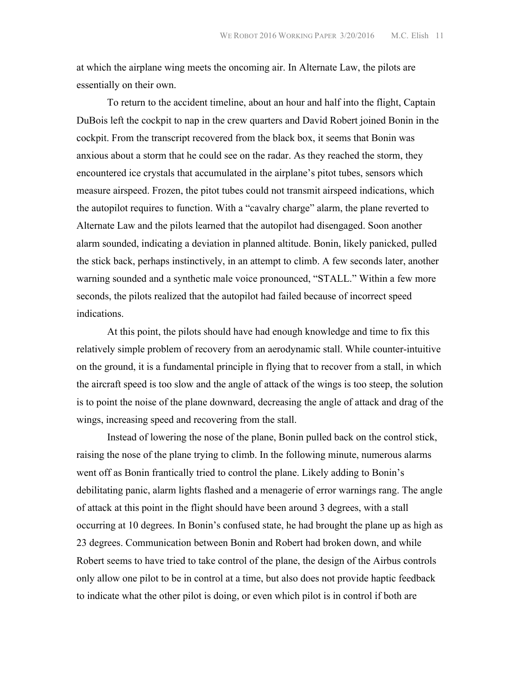at which the airplane wing meets the oncoming air. In Alternate Law, the pilots are essentially on their own.

To return to the accident timeline, about an hour and half into the flight, Captain DuBois left the cockpit to nap in the crew quarters and David Robert joined Bonin in the cockpit. From the transcript recovered from the black box, it seems that Bonin was anxious about a storm that he could see on the radar. As they reached the storm, they encountered ice crystals that accumulated in the airplane's pitot tubes, sensors which measure airspeed. Frozen, the pitot tubes could not transmit airspeed indications, which the autopilot requires to function. With a "cavalry charge" alarm, the plane reverted to Alternate Law and the pilots learned that the autopilot had disengaged. Soon another alarm sounded, indicating a deviation in planned altitude. Bonin, likely panicked, pulled the stick back, perhaps instinctively, in an attempt to climb. A few seconds later, another warning sounded and a synthetic male voice pronounced, "STALL." Within a few more seconds, the pilots realized that the autopilot had failed because of incorrect speed indications.

At this point, the pilots should have had enough knowledge and time to fix this relatively simple problem of recovery from an aerodynamic stall. While counter-intuitive on the ground, it is a fundamental principle in flying that to recover from a stall, in which the aircraft speed is too slow and the angle of attack of the wings is too steep, the solution is to point the noise of the plane downward, decreasing the angle of attack and drag of the wings, increasing speed and recovering from the stall.

Instead of lowering the nose of the plane, Bonin pulled back on the control stick, raising the nose of the plane trying to climb. In the following minute, numerous alarms went off as Bonin frantically tried to control the plane. Likely adding to Bonin's debilitating panic, alarm lights flashed and a menagerie of error warnings rang. The angle of attack at this point in the flight should have been around 3 degrees, with a stall occurring at 10 degrees. In Bonin's confused state, he had brought the plane up as high as 23 degrees. Communication between Bonin and Robert had broken down, and while Robert seems to have tried to take control of the plane, the design of the Airbus controls only allow one pilot to be in control at a time, but also does not provide haptic feedback to indicate what the other pilot is doing, or even which pilot is in control if both are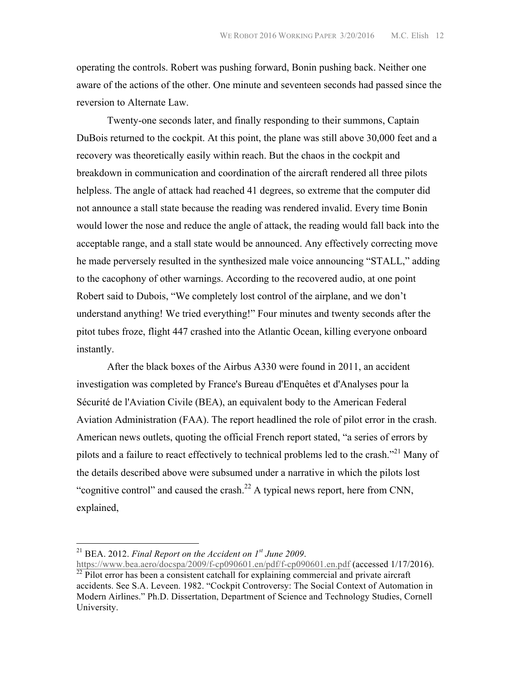operating the controls. Robert was pushing forward, Bonin pushing back. Neither one aware of the actions of the other. One minute and seventeen seconds had passed since the reversion to Alternate Law.

Twenty-one seconds later, and finally responding to their summons, Captain DuBois returned to the cockpit. At this point, the plane was still above 30,000 feet and a recovery was theoretically easily within reach. But the chaos in the cockpit and breakdown in communication and coordination of the aircraft rendered all three pilots helpless. The angle of attack had reached 41 degrees, so extreme that the computer did not announce a stall state because the reading was rendered invalid. Every time Bonin would lower the nose and reduce the angle of attack, the reading would fall back into the acceptable range, and a stall state would be announced. Any effectively correcting move he made perversely resulted in the synthesized male voice announcing "STALL," adding to the cacophony of other warnings. According to the recovered audio, at one point Robert said to Dubois, "We completely lost control of the airplane, and we don't understand anything! We tried everything!" Four minutes and twenty seconds after the pitot tubes froze, flight 447 crashed into the Atlantic Ocean, killing everyone onboard instantly.

After the black boxes of the Airbus A330 were found in 2011, an accident investigation was completed by France's Bureau d'Enquêtes et d'Analyses pour la Sécurité de l'Aviation Civile (BEA), an equivalent body to the American Federal Aviation Administration (FAA). The report headlined the role of pilot error in the crash. American news outlets, quoting the official French report stated, "a series of errors by pilots and a failure to react effectively to technical problems led to the crash."<sup>21</sup> Many of the details described above were subsumed under a narrative in which the pilots lost "cognitive control" and caused the crash.<sup>22</sup> A typical news report, here from CNN, explained,

https://www.bea.aero/docspa/2009/f-cp090601.en/pdf/f-cp090601.en.pdf (accessed 1/17/2016).

 <sup>21</sup> BEA. 2012. *Final Report on the Accident on 1st June 2009*.

 $\frac{22}{2}$  Pilot error has been a consistent catchall for explaining commercial and private aircraft accidents. See S.A. Leveen. 1982. "Cockpit Controversy: The Social Context of Automation in Modern Airlines." Ph.D. Dissertation, Department of Science and Technology Studies, Cornell University.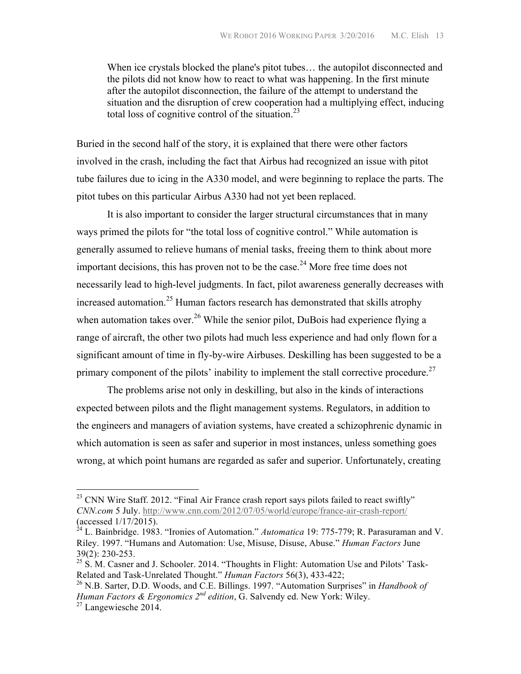When ice crystals blocked the plane's pitot tubes… the autopilot disconnected and the pilots did not know how to react to what was happening. In the first minute after the autopilot disconnection, the failure of the attempt to understand the situation and the disruption of crew cooperation had a multiplying effect, inducing total loss of cognitive control of the situation.<sup>23</sup>

Buried in the second half of the story, it is explained that there were other factors involved in the crash, including the fact that Airbus had recognized an issue with pitot tube failures due to icing in the A330 model, and were beginning to replace the parts. The pitot tubes on this particular Airbus A330 had not yet been replaced.

It is also important to consider the larger structural circumstances that in many ways primed the pilots for "the total loss of cognitive control." While automation is generally assumed to relieve humans of menial tasks, freeing them to think about more important decisions, this has proven not to be the case.<sup>24</sup> More free time does not necessarily lead to high-level judgments. In fact, pilot awareness generally decreases with increased automation.<sup>25</sup> Human factors research has demonstrated that skills atrophy when automation takes over.<sup>26</sup> While the senior pilot, DuBois had experience flying a range of aircraft, the other two pilots had much less experience and had only flown for a significant amount of time in fly-by-wire Airbuses. Deskilling has been suggested to be a primary component of the pilots' inability to implement the stall corrective procedure.<sup>27</sup>

The problems arise not only in deskilling, but also in the kinds of interactions expected between pilots and the flight management systems. Regulators, in addition to the engineers and managers of aviation systems, have created a schizophrenic dynamic in which automation is seen as safer and superior in most instances, unless something goes wrong, at which point humans are regarded as safer and superior. Unfortunately, creating

 $23$  CNN Wire Staff. 2012. "Final Air France crash report says pilots failed to react swiftly" *CNN.com* 5 July. http://www.cnn.com/2012/07/05/world/europe/france-air-crash-report/ (accessed 1/17/2015).

<sup>24</sup> L. Bainbridge. 1983. "Ironies of Automation." *Automatica* 19: 775-779; R. Parasuraman and V. Riley. 1997. "Humans and Automation: Use, Misuse, Disuse, Abuse." *Human Factors* June 39(2): 230-253.

<sup>&</sup>lt;sup>25</sup> S. M. Casner and J. Schooler. 2014. "Thoughts in Flight: Automation Use and Pilots' Task-Related and Task-Unrelated Thought." *Human Factors* 56(3), 433-422;

<sup>26</sup> N.B. Sarter, D.D. Woods, and C.E. Billings. 1997. "Automation Surprises" in *Handbook of Human Factors & Ergonomics 2nd edition*, G. Salvendy ed. New York: Wiley.  $27$  Langewiesche 2014.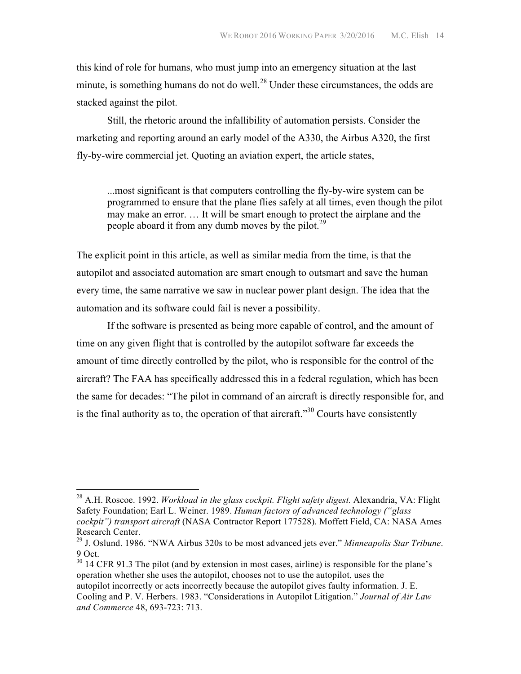this kind of role for humans, who must jump into an emergency situation at the last minute, is something humans do not do well.<sup>28</sup> Under these circumstances, the odds are stacked against the pilot.

Still, the rhetoric around the infallibility of automation persists. Consider the marketing and reporting around an early model of the A330, the Airbus A320, the first fly-by-wire commercial jet. Quoting an aviation expert, the article states,

...most significant is that computers controlling the fly-by-wire system can be programmed to ensure that the plane flies safely at all times, even though the pilot may make an error. … It will be smart enough to protect the airplane and the people aboard it from any dumb moves by the pilot.<sup>29</sup>

The explicit point in this article, as well as similar media from the time, is that the autopilot and associated automation are smart enough to outsmart and save the human every time, the same narrative we saw in nuclear power plant design. The idea that the automation and its software could fail is never a possibility.

If the software is presented as being more capable of control, and the amount of time on any given flight that is controlled by the autopilot software far exceeds the amount of time directly controlled by the pilot, who is responsible for the control of the aircraft? The FAA has specifically addressed this in a federal regulation, which has been the same for decades: "The pilot in command of an aircraft is directly responsible for, and is the final authority as to, the operation of that aircraft.<sup>330</sup> Courts have consistently

<sup>30</sup> 14 CFR 91.3 The pilot (and by extension in most cases, airline) is responsible for the plane's operation whether she uses the autopilot, chooses not to use the autopilot, uses the autopilot incorrectly or acts incorrectly because the autopilot gives faulty information. J. E.

<sup>&</sup>lt;sup>28</sup> A.H. Roscoe. 1992. *Workload in the glass cockpit. Flight safety digest.* Alexandria, VA: Flight Safety Foundation; Earl L. Weiner. 1989. *Human factors of advanced technology ("glass cockpit") transport aircraft* (NASA Contractor Report 177528). Moffett Field, CA: NASA Ames Research Center.

<sup>29</sup> J. Oslund. 1986. "NWA Airbus 320s to be most advanced jets ever." *Minneapolis Star Tribune*. 9 Oct.

Cooling and P. V. Herbers. 1983. "Considerations in Autopilot Litigation." *Journal of Air Law and Commerce* 48, 693-723: 713.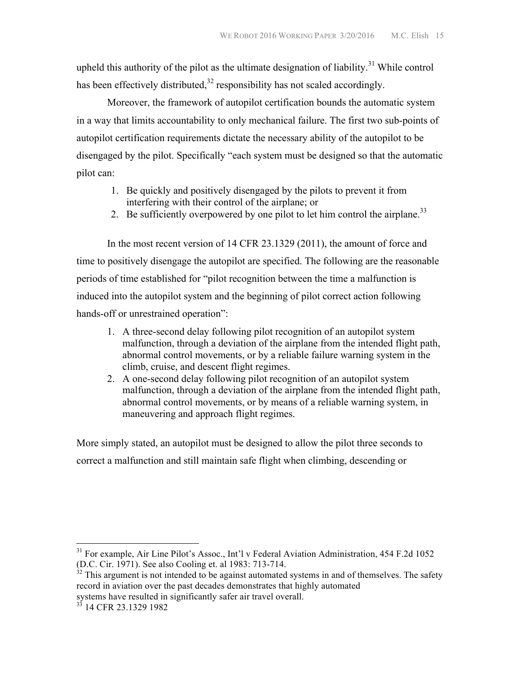upheld this authority of the pilot as the ultimate designation of liability.<sup>31</sup> While control has been effectively distributed, $32$  responsibility has not scaled accordingly.

Moreover, the framework of autopilot certification bounds the automatic system in a way that limits accountability to only mechanical failure. The first two sub-points of autopilot certification requirements dictate the necessary ability of the autopilot to be disengaged by the pilot. Specifically "each system must be designed so that the automatic pilot can:

- 1. Be quickly and positively disengaged by the pilots to prevent it from interfering with their control of the airplane; or
- 2. Be sufficiently overpowered by one pilot to let him control the airplane.<sup>33</sup>

In the most recent version of 14 CFR 23.1329 (2011), the amount of force and time to positively disengage the autopilot are specified. The following are the reasonable periods of time established for "pilot recognition between the time a malfunction is induced into the autopilot system and the beginning of pilot correct action following hands-off or unrestrained operation":

- 1. A three-second delay following pilot recognition of an autopilot system malfunction, through a deviation of the airplane from the intended flight path, abnormal control movements, or by a reliable failure warning system in the climb, cruise, and descent flight regimes.
- 2. A one-second delay following pilot recognition of an autopilot system malfunction, through a deviation of the airplane from the intended flight path, abnormal control movements, or by means of a reliable warning system, in maneuvering and approach flight regimes.

More simply stated, an autopilot must be designed to allow the pilot three seconds to correct a malfunction and still maintain safe flight when climbing, descending or

 <sup>31</sup> For example, Air Line Pilot's Assoc., Int'l v Federal Aviation Administration, 454 F.2d 1052 (D.C. Cir. 1971). See also Cooling et. al 1983: 713-714.

 $32$  This argument is not intended to be against automated systems in and of themselves. The safety record in aviation over the past decades demonstrates that highly automated systems have resulted in significantly safer air travel overall.

<sup>&</sup>lt;sup>33</sup> 14 CFR 23.1329 1982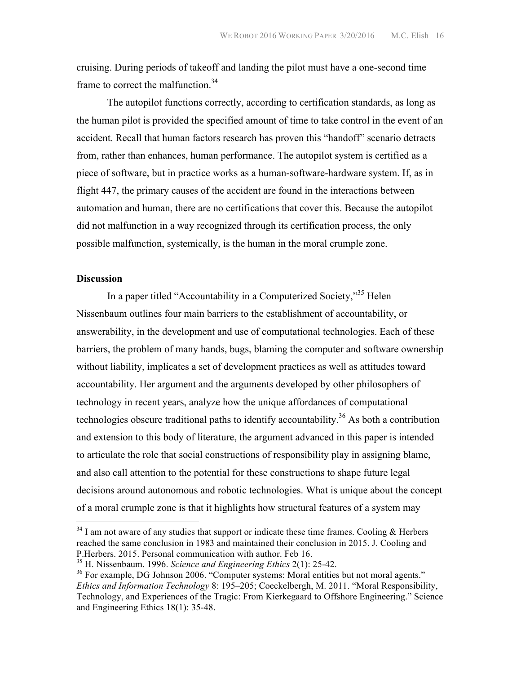cruising. During periods of takeoff and landing the pilot must have a one-second time frame to correct the malfunction.<sup>34</sup>

The autopilot functions correctly, according to certification standards, as long as the human pilot is provided the specified amount of time to take control in the event of an accident. Recall that human factors research has proven this "handoff" scenario detracts from, rather than enhances, human performance. The autopilot system is certified as a piece of software, but in practice works as a human-software-hardware system. If, as in flight 447, the primary causes of the accident are found in the interactions between automation and human, there are no certifications that cover this. Because the autopilot did not malfunction in a way recognized through its certification process, the only possible malfunction, systemically, is the human in the moral crumple zone.

## **Discussion**

In a paper titled "Accountability in a Computerized Society,"<sup>35</sup> Helen Nissenbaum outlines four main barriers to the establishment of accountability, or answerability, in the development and use of computational technologies. Each of these barriers, the problem of many hands, bugs, blaming the computer and software ownership without liability, implicates a set of development practices as well as attitudes toward accountability. Her argument and the arguments developed by other philosophers of technology in recent years, analyze how the unique affordances of computational technologies obscure traditional paths to identify accountability.<sup>36</sup> As both a contribution and extension to this body of literature, the argument advanced in this paper is intended to articulate the role that social constructions of responsibility play in assigning blame, and also call attention to the potential for these constructions to shape future legal decisions around autonomous and robotic technologies. What is unique about the concept of a moral crumple zone is that it highlights how structural features of a system may

 $34$  I am not aware of any studies that support or indicate these time frames. Cooling & Herbers reached the same conclusion in 1983 and maintained their conclusion in 2015. J. Cooling and P.Herbers. 2015. Personal communication with author. Feb 16.

<sup>35</sup> H. Nissenbaum. 1996. *Science and Engineering Ethics* 2(1): 25-42.

<sup>&</sup>lt;sup>36</sup> For example, DG Johnson 2006. "Computer systems: Moral entities but not moral agents." *Ethics and Information Technology* 8: 195–205; Coeckelbergh, M. 2011. "Moral Responsibility, Technology, and Experiences of the Tragic: From Kierkegaard to Offshore Engineering." Science and Engineering Ethics 18(1): 35-48.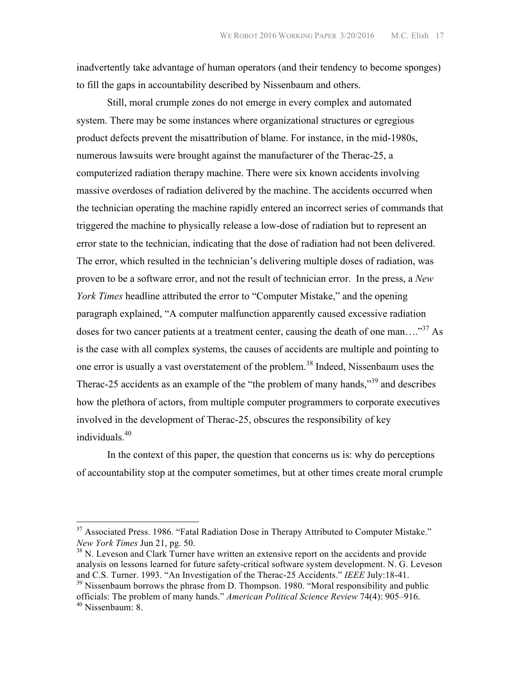inadvertently take advantage of human operators (and their tendency to become sponges) to fill the gaps in accountability described by Nissenbaum and others.

Still, moral crumple zones do not emerge in every complex and automated system. There may be some instances where organizational structures or egregious product defects prevent the misattribution of blame. For instance, in the mid-1980s, numerous lawsuits were brought against the manufacturer of the Therac-25, a computerized radiation therapy machine. There were six known accidents involving massive overdoses of radiation delivered by the machine. The accidents occurred when the technician operating the machine rapidly entered an incorrect series of commands that triggered the machine to physically release a low-dose of radiation but to represent an error state to the technician, indicating that the dose of radiation had not been delivered. The error, which resulted in the technician's delivering multiple doses of radiation, was proven to be a software error, and not the result of technician error. In the press, a *New York Times* headline attributed the error to "Computer Mistake," and the opening paragraph explained, "A computer malfunction apparently caused excessive radiation doses for two cancer patients at a treatment center, causing the death of one man... $^{37}$  As is the case with all complex systems, the causes of accidents are multiple and pointing to one error is usually a vast overstatement of the problem.<sup>38</sup> Indeed, Nissenbaum uses the Therac-25 accidents as an example of the "the problem of many hands,"<sup>39</sup> and describes how the plethora of actors, from multiple computer programmers to corporate executives involved in the development of Therac-25, obscures the responsibility of key individuals $40$ 

In the context of this paper, the question that concerns us is: why do perceptions of accountability stop at the computer sometimes, but at other times create moral crumple

 $37$  Associated Press. 1986. "Fatal Radiation Dose in Therapy Attributed to Computer Mistake." *New York Times* Jun 21, pg. 50.

 $38$  N. Leveson and Clark Turner have written an extensive report on the accidents and provide analysis on lessons learned for future safety-critical software system development. N. G. Leveson and C.S. Turner. 1993. "An Investigation of the Therac-25 Accidents." *IEEE* July:18-41.

 $39$  Nissenbaum borrows the phrase from D. Thompson. 1980. "Moral responsibility and public officials: The problem of many hands." *American Political Science Review* 74(4): 905–916.

<sup>40</sup> Nissenbaum: 8.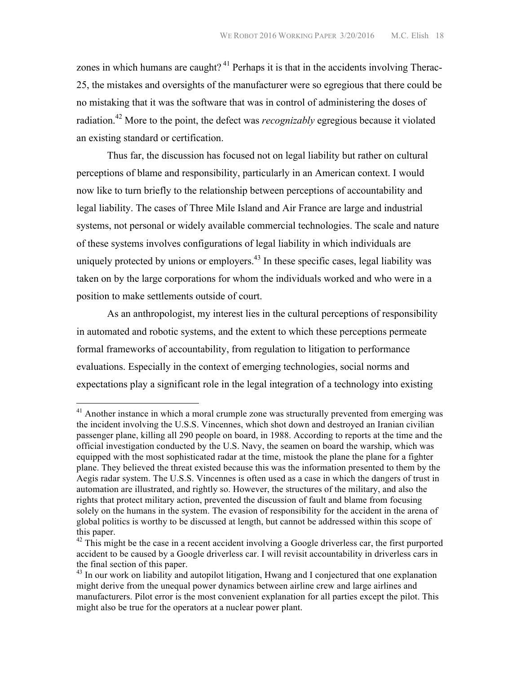zones in which humans are caught?<sup>41</sup> Perhaps it is that in the accidents involving Therac-25, the mistakes and oversights of the manufacturer were so egregious that there could be no mistaking that it was the software that was in control of administering the doses of radiation.42 More to the point, the defect was *recognizably* egregious because it violated an existing standard or certification.

Thus far, the discussion has focused not on legal liability but rather on cultural perceptions of blame and responsibility, particularly in an American context. I would now like to turn briefly to the relationship between perceptions of accountability and legal liability. The cases of Three Mile Island and Air France are large and industrial systems, not personal or widely available commercial technologies. The scale and nature of these systems involves configurations of legal liability in which individuals are uniquely protected by unions or employers. $43$  In these specific cases, legal liability was taken on by the large corporations for whom the individuals worked and who were in a position to make settlements outside of court.

As an anthropologist, my interest lies in the cultural perceptions of responsibility in automated and robotic systems, and the extent to which these perceptions permeate formal frameworks of accountability, from regulation to litigation to performance evaluations. Especially in the context of emerging technologies, social norms and expectations play a significant role in the legal integration of a technology into existing

<sup>&</sup>lt;sup>41</sup> Another instance in which a moral crumple zone was structurally prevented from emerging was the incident involving the U.S.S. Vincennes, which shot down and destroyed an Iranian civilian passenger plane, killing all 290 people on board, in 1988. According to reports at the time and the official investigation conducted by the U.S. Navy, the seamen on board the warship, which was equipped with the most sophisticated radar at the time, mistook the plane the plane for a fighter plane. They believed the threat existed because this was the information presented to them by the Aegis radar system. The U.S.S. Vincennes is often used as a case in which the dangers of trust in automation are illustrated, and rightly so. However, the structures of the military, and also the rights that protect military action, prevented the discussion of fault and blame from focusing solely on the humans in the system. The evasion of responsibility for the accident in the arena of global politics is worthy to be discussed at length, but cannot be addressed within this scope of this paper.

 $42$  This might be the case in a recent accident involving a Google driverless car, the first purported accident to be caused by a Google driverless car. I will revisit accountability in driverless cars in the final section of this paper.

 $^{43}$  In our work on liability and autopilot litigation, Hwang and I conjectured that one explanation might derive from the unequal power dynamics between airline crew and large airlines and manufacturers. Pilot error is the most convenient explanation for all parties except the pilot. This might also be true for the operators at a nuclear power plant.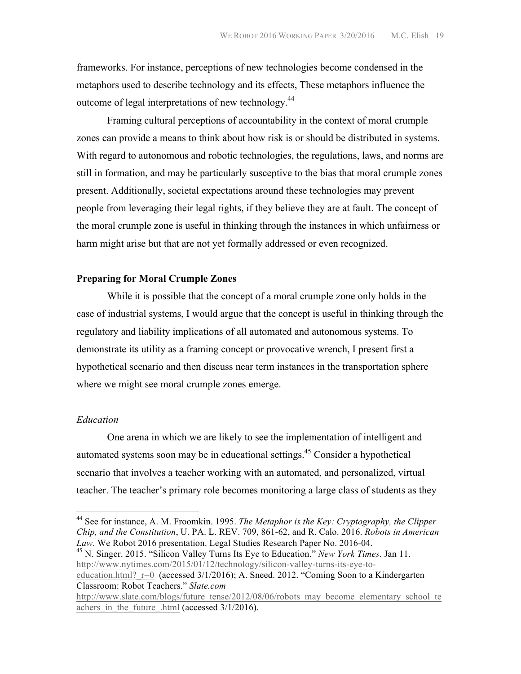frameworks. For instance, perceptions of new technologies become condensed in the metaphors used to describe technology and its effects, These metaphors influence the outcome of legal interpretations of new technology.44

Framing cultural perceptions of accountability in the context of moral crumple zones can provide a means to think about how risk is or should be distributed in systems. With regard to autonomous and robotic technologies, the regulations, laws, and norms are still in formation, and may be particularly susceptive to the bias that moral crumple zones present. Additionally, societal expectations around these technologies may prevent people from leveraging their legal rights, if they believe they are at fault. The concept of the moral crumple zone is useful in thinking through the instances in which unfairness or harm might arise but that are not yet formally addressed or even recognized.

### **Preparing for Moral Crumple Zones**

While it is possible that the concept of a moral crumple zone only holds in the case of industrial systems, I would argue that the concept is useful in thinking through the regulatory and liability implications of all automated and autonomous systems. To demonstrate its utility as a framing concept or provocative wrench, I present first a hypothetical scenario and then discuss near term instances in the transportation sphere where we might see moral crumple zones emerge.

#### *Education*

One arena in which we are likely to see the implementation of intelligent and automated systems soon may be in educational settings.<sup>45</sup> Consider a hypothetical scenario that involves a teacher working with an automated, and personalized, virtual teacher. The teacher's primary role becomes monitoring a large class of students as they

<sup>45</sup> N. Singer. 2015. "Silicon Valley Turns Its Eye to Education." *New York Times*. Jan 11. http://www.nytimes.com/2015/01/12/technology/silicon-valley-turns-its-eye-to-

 <sup>44</sup> See for instance, A. M. Froomkin. 1995. *The Metaphor is the Key: Cryptography, the Clipper Chip, and the Constitution*, U. PA. L. REV. 709, 861-62, and R. Calo. 2016. *Robots in American Law*. We Robot 2016 presentation. Legal Studies Research Paper No. 2016-04.

education.html?  $r=0$  (accessed 3/1/2016); A. Sneed. 2012. "Coming Soon to a Kindergarten Classroom: Robot Teachers." *Slate.com*

http://www.slate.com/blogs/future\_tense/2012/08/06/robots\_may\_become\_elementary\_school\_te achers in the future .html (accessed  $3/1/2016$ ).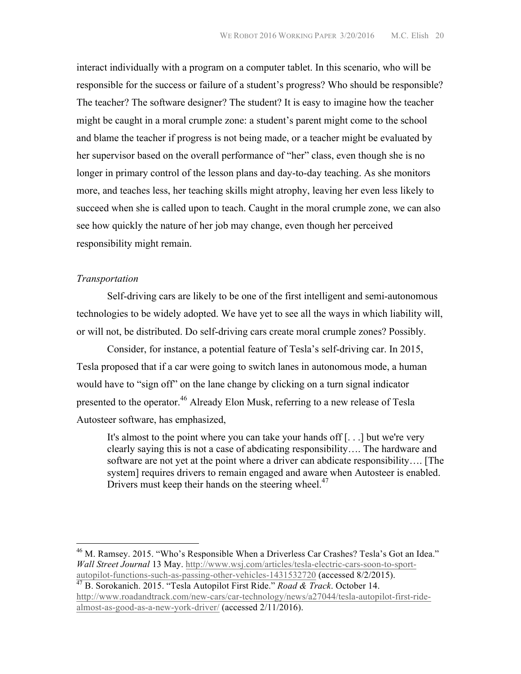interact individually with a program on a computer tablet. In this scenario, who will be responsible for the success or failure of a student's progress? Who should be responsible? The teacher? The software designer? The student? It is easy to imagine how the teacher might be caught in a moral crumple zone: a student's parent might come to the school and blame the teacher if progress is not being made, or a teacher might be evaluated by her supervisor based on the overall performance of "her" class, even though she is no longer in primary control of the lesson plans and day-to-day teaching. As she monitors more, and teaches less, her teaching skills might atrophy, leaving her even less likely to succeed when she is called upon to teach. Caught in the moral crumple zone, we can also see how quickly the nature of her job may change, even though her perceived responsibility might remain.

## *Transportation*

Self-driving cars are likely to be one of the first intelligent and semi-autonomous technologies to be widely adopted. We have yet to see all the ways in which liability will, or will not, be distributed. Do self-driving cars create moral crumple zones? Possibly.

Consider, for instance, a potential feature of Tesla's self-driving car. In 2015, Tesla proposed that if a car were going to switch lanes in autonomous mode, a human would have to "sign off" on the lane change by clicking on a turn signal indicator presented to the operator.<sup>46</sup> Already Elon Musk, referring to a new release of Tesla Autosteer software, has emphasized,

It's almost to the point where you can take your hands off [. . .] but we're very clearly saying this is not a case of abdicating responsibility…. The hardware and software are not yet at the point where a driver can abdicate responsibility…. [The system] requires drivers to remain engaged and aware when Autosteer is enabled. Drivers must keep their hands on the steering wheel.<sup>47</sup>

 $^{46}$  M. Ramsey. 2015. "Who's Responsible When a Driverless Car Crashes? Tesla's Got an Idea." *Wall Street Journal* 13 May. http://www.wsj.com/articles/tesla-electric-cars-soon-to-sportautopilot-functions-such-as-passing-other-vehicles-1431532720 (accessed 8/2/2015).

<sup>47</sup> B. Sorokanich. 2015. "Tesla Autopilot First Ride." *Road & Track*. October 14. http://www.roadandtrack.com/new-cars/car-technology/news/a27044/tesla-autopilot-first-ridealmost-as-good-as-a-new-york-driver/ (accessed 2/11/2016).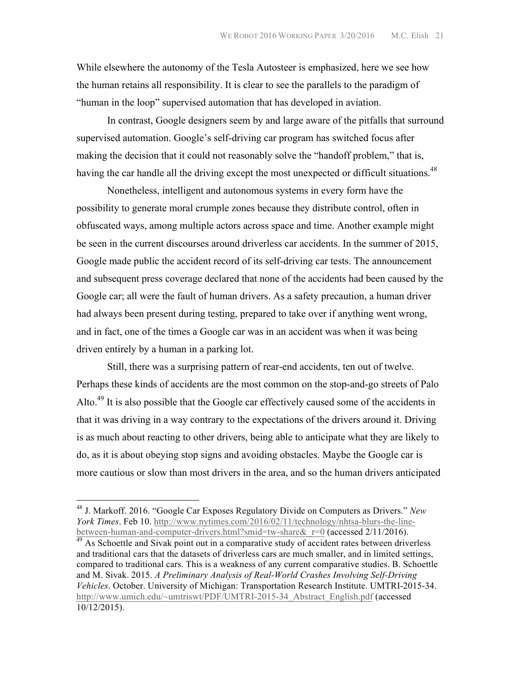While elsewhere the autonomy of the Tesla Autosteer is emphasized, here we see how the human retains all responsibility. It is clear to see the parallels to the paradigm of "human in the loop" supervised automation that has developed in aviation.

In contrast, Google designers seem by and large aware of the pitfalls that surround supervised automation. Google's self-driving car program has switched focus after making the decision that it could not reasonably solve the "handoff problem," that is, having the car handle all the driving except the most unexpected or difficult situations.<sup>48</sup>

Nonetheless, intelligent and autonomous systems in every form have the possibility to generate moral crumple zones because they distribute control, often in obfuscated ways, among multiple actors across space and time. Another example might be seen in the current discourses around driverless car accidents. In the summer of 2015, Google made public the accident record of its self-driving car tests. The announcement and subsequent press coverage declared that none of the accidents had been caused by the Google car; all were the fault of human drivers. As a safety precaution, a human driver had always been present during testing, prepared to take over if anything went wrong, and in fact, one of the times a Google car was in an accident was when it was being driven entirely by a human in a parking lot.

Still, there was a surprising pattern of rear-end accidents, ten out of twelve. Perhaps these kinds of accidents are the most common on the stop-and-go streets of Palo Alto.<sup>49</sup> It is also possible that the Google car effectively caused some of the accidents in that it was driving in a way contrary to the expectations of the drivers around it. Driving is as much about reacting to other drivers, being able to anticipate what they are likely to do, as it is about obeying stop signs and avoiding obstacles. Maybe the Google car is more cautious or slow than most drivers in the area, and so the human drivers anticipated

 <sup>48</sup> J. Markoff. 2016. "Google Car Exposes Regulatory Divide on Computers as Drivers." *New York Times*. Feb 10. http://www.nytimes.com/2016/02/11/technology/nhtsa-blurs-the-linebetween-human-and-computer-drivers.html?smid=tw-share&r=0 (accessed 2/11/2016).

 $49$  As Schoettle and Sivak point out in a comparative study of accident rates between driverless and traditional cars that the datasets of driverless cars are much smaller, and in limited settings, compared to traditional cars. This is a weakness of any current comparative studies. B. Schoettle and M. Sivak. 2015. *A Preliminary Analysis of Real-World Crashes Involving Self-Driving Vehicles*. October. University of Michigan: Transportation Research Institute. UMTRI-2015-34. http://www.umich.edu/~umtriswt/PDF/UMTRI-2015-34\_Abstract\_English.pdf (accessed 10/12/2015).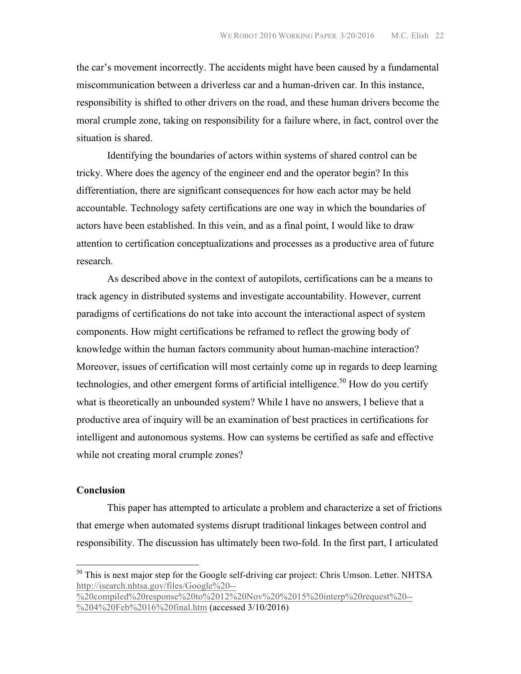the car's movement incorrectly. The accidents might have been caused by a fundamental miscommunication between a driverless car and a human-driven car. In this instance, responsibility is shifted to other drivers on the road, and these human drivers become the moral crumple zone, taking on responsibility for a failure where, in fact, control over the situation is shared.

Identifying the boundaries of actors within systems of shared control can be tricky. Where does the agency of the engineer end and the operator begin? In this differentiation, there are significant consequences for how each actor may be held accountable. Technology safety certifications are one way in which the boundaries of actors have been established. In this vein, and as a final point, I would like to draw attention to certification conceptualizations and processes as a productive area of future research.

As described above in the context of autopilots, certifications can be a means to track agency in distributed systems and investigate accountability. However, current paradigms of certifications do not take into account the interactional aspect of system components. How might certifications be reframed to reflect the growing body of knowledge within the human factors community about human-machine interaction? Moreover, issues of certification will most certainly come up in regards to deep learning technologies, and other emergent forms of artificial intelligence.<sup>50</sup> How do you certify what is theoretically an unbounded system? While I have no answers, I believe that a productive area of inquiry will be an examination of best practices in certifications for intelligent and autonomous systems. How can systems be certified as safe and effective while not creating moral crumple zones?

#### **Conclusion**

This paper has attempted to articulate a problem and characterize a set of frictions that emerge when automated systems disrupt traditional linkages between control and responsibility. The discussion has ultimately been two-fold. In the first part, I articulated

 $50$  This is next major step for the Google self-driving car project: Chris Umson. Letter. NHTSA http://isearch.nhtsa.gov/files/Google%20--

<sup>%20</sup>compiled%20response%20to%2012%20Nov%20%2015%20interp%20request%20--%204%20Feb%2016%20final.htm (accessed 3/10/2016)